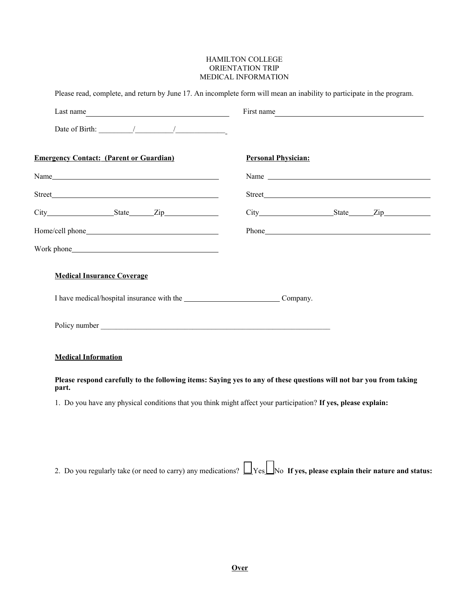## HAMILTON COLLEGE ORIENTATION TRIP MEDICAL INFORMATION

| Last name $\qquad \qquad$                                                                   | First name                                                                                                         |
|---------------------------------------------------------------------------------------------|--------------------------------------------------------------------------------------------------------------------|
| Date of Birth: $\frac{1}{\sqrt{1-\frac{1}{2}}}\left  \frac{1}{\sqrt{1-\frac{1}{2}}}\right $ |                                                                                                                    |
| <b>Emergency Contact: (Parent or Guardian)</b>                                              | <b>Personal Physician:</b>                                                                                         |
|                                                                                             | Name                                                                                                               |
|                                                                                             |                                                                                                                    |
|                                                                                             |                                                                                                                    |
|                                                                                             |                                                                                                                    |
|                                                                                             |                                                                                                                    |
| <b>Medical Insurance Coverage</b>                                                           |                                                                                                                    |
|                                                                                             |                                                                                                                    |
| <b>Medical Information</b>                                                                  |                                                                                                                    |
| part.                                                                                       | Please respond carefully to the following items: Saying yes to any of these questions will not bar you from taking |
|                                                                                             | 1. Do you have any physical conditions that you think might affect your participation? If yes, please explain:     |

2. Do you regularly take (or need to carry) any medications?  $\Box$  Yes $\Box$ No **If yes, please explain their nature and status:**